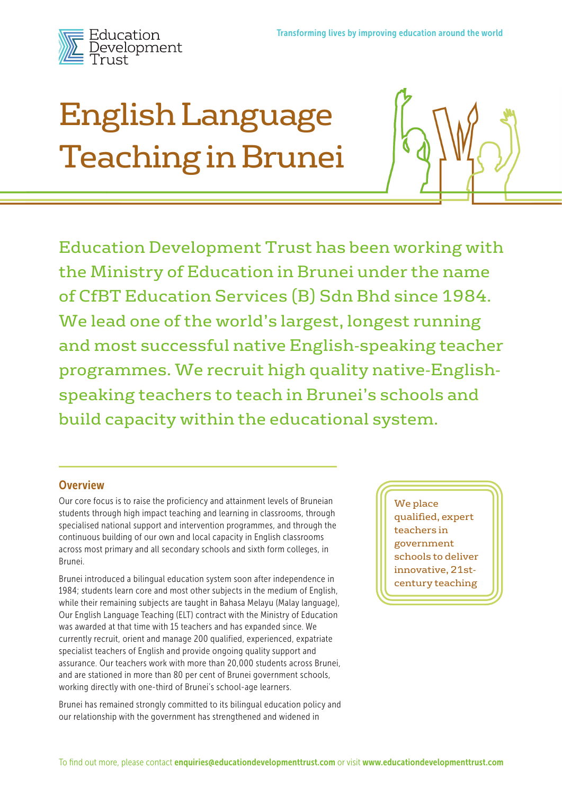

# English Language Teaching in Brunei



Education Development Trust has been working with the Ministry of Education in Brunei under the name of CfBT Education Services (B) Sdn Bhd since 1984. We lead one of the world's largest, longest running and most successful native English-speaking teacher programmes. We recruit high quality native-Englishspeaking teachers to teach in Brunei's schools and build capacity within the educational system.

#### **Overview**

Our core focus is to raise the proficiency and attainment levels of Bruneian students through high impact teaching and learning in classrooms, through specialised national support and intervention programmes, and through the continuous building of our own and local capacity in English classrooms across most primary and all secondary schools and sixth form colleges, in Brunei.

Brunei introduced a bilingual education system soon after independence in 1984; students learn core and most other subjects in the medium of English, while their remaining subjects are taught in Bahasa Melayu (Malay language), Our English Language Teaching (ELT) contract with the Ministry of Education was awarded at that time with 15 teachers and has expanded since. We currently recruit, orient and manage 200 qualified, experienced, expatriate specialist teachers of English and provide ongoing quality support and assurance. Our teachers work with more than 20,000 students across Brunei, and are stationed in more than 80 per cent of Brunei government schools, working directly with one-third of Brunei's school-age learners.

Brunei has remained strongly committed to its bilingual education policy and our relationship with the government has strengthened and widened in

We place qualified, expert teachers in government schools to deliver innovative, 21stcentury teaching